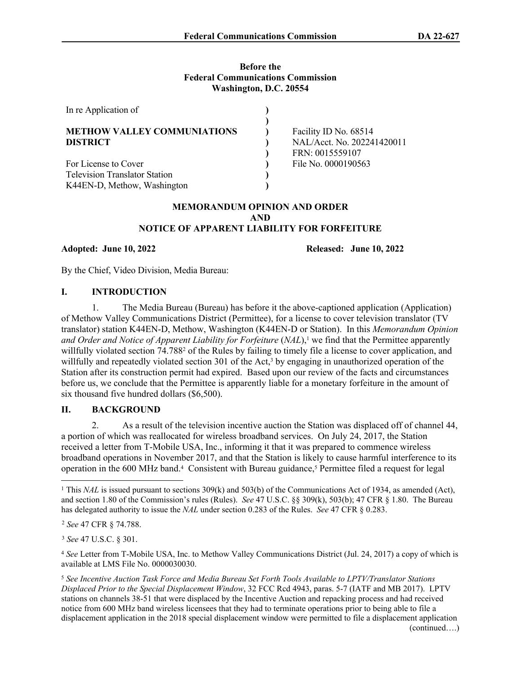#### **Before the Federal Communications Commission Washington, D.C. 20554**

| In re Application of                 |                            |
|--------------------------------------|----------------------------|
|                                      |                            |
| <b>METHOW VALLEY COMMUNIATIONS</b>   | Facility ID No. 68514      |
| <b>DISTRICT</b>                      | NAL/Acct. No. 202241420011 |
|                                      | FRN: 0015559107            |
| For License to Cover                 | File No. 0000190563        |
| <b>Television Translator Station</b> |                            |
| K44EN-D, Methow, Washington          |                            |

#### **MEMORANDUM OPINION AND ORDER AND NOTICE OF APPARENT LIABILITY FOR FORFEITURE**

## **Adopted: June 10, 2022 Released: June 10, 2022**

By the Chief, Video Division, Media Bureau:

## **I. INTRODUCTION**

1. The Media Bureau (Bureau) has before it the above-captioned application (Application) of Methow Valley Communications District (Permittee), for a license to cover television translator (TV translator) station K44EN-D, Methow, Washington (K44EN-D or Station). In this *Memorandum Opinion and Order and Notice of Apparent Liability for Forfeiture (NAL)*,<sup>1</sup> we find that the Permittee apparently willfully violated section 74.788<sup>2</sup> of the Rules by failing to timely file a license to cover application, and willfully and repeatedly violated section 301 of the Act,<sup>3</sup> by engaging in unauthorized operation of the Station after its construction permit had expired. Based upon our review of the facts and circumstances before us, we conclude that the Permittee is apparently liable for a monetary forfeiture in the amount of six thousand five hundred dollars (\$6,500).

## **II. BACKGROUND**

2. As a result of the television incentive auction the Station was displaced off of channel 44, a portion of which was reallocated for wireless broadband services. On July 24, 2017, the Station received a letter from T-Mobile USA, Inc., informing it that it was prepared to commence wireless broadband operations in November 2017, and that the Station is likely to cause harmful interference to its operation in the 600 MHz band.<sup>4</sup> Consistent with Bureau guidance,<sup>5</sup> Permittee filed a request for legal

<sup>&</sup>lt;sup>1</sup> This *NAL* is issued pursuant to sections 309(k) and 503(b) of the Communications Act of 1934, as amended (Act), and section 1.80 of the Commission's rules (Rules). *See* 47 U.S.C. §§ 309(k), 503(b); 47 CFR § 1.80. The Bureau has delegated authority to issue the *NAL* under section 0.283 of the Rules. *See* 47 CFR § 0.283.

<sup>2</sup> *See* 47 CFR § 74.788.

<sup>3</sup> *See* 47 U.S.C. § 301.

<sup>4</sup> *See* Letter from T-Mobile USA, Inc. to Methow Valley Communications District (Jul. 24, 2017) a copy of which is available at LMS File No. 0000030030.

<sup>5</sup> *See Incentive Auction Task Force and Media Bureau Set Forth Tools Available to LPTV/Translator Stations Displaced Prior to the Special Displacement Window*, 32 FCC Rcd 4943, paras. 5-7 (IATF and MB 2017). LPTV stations on channels 38-51 that were displaced by the Incentive Auction and repacking process and had received notice from 600 MHz band wireless licensees that they had to terminate operations prior to being able to file a displacement application in the 2018 special displacement window were permitted to file a displacement application (continued….)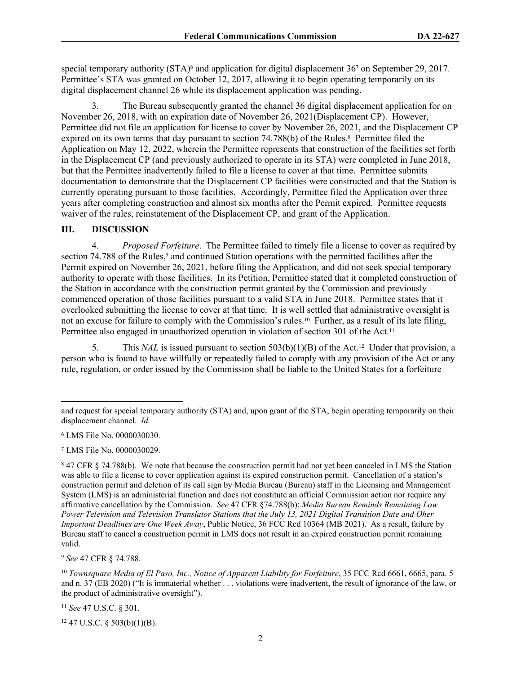special temporary authority (STA)<sup>6</sup> and application for digital displacement 36<sup>7</sup> on September 29, 2017. Permittee's STA was granted on October 12, 2017, allowing it to begin operating temporarily on its digital displacement channel 26 while its displacement application was pending.

3. The Bureau subsequently granted the channel 36 digital displacement application for on November 26, 2018, with an expiration date of November 26, 2021(Displacement CP). However, Permittee did not file an application for license to cover by November 26, 2021, and the Displacement CP expired on its own terms that day pursuant to section 74.788(b) of the Rules.<sup>8</sup> Permittee filed the Application on May 12, 2022, wherein the Permittee represents that construction of the facilities set forth in the Displacement CP (and previously authorized to operate in its STA) were completed in June 2018, but that the Permittee inadvertently failed to file a license to cover at that time. Permittee submits documentation to demonstrate that the Displacement CP facilities were constructed and that the Station is currently operating pursuant to those facilities. Accordingly, Permittee filed the Application over three years after completing construction and almost six months after the Permit expired. Permittee requests waiver of the rules, reinstatement of the Displacement CP, and grant of the Application.

## **III. DISCUSSION**

4. *Proposed Forfeiture*. The Permittee failed to timely file a license to cover as required by section 74.788 of the Rules,<sup>9</sup> and continued Station operations with the permitted facilities after the Permit expired on November 26, 2021, before filing the Application, and did not seek special temporary authority to operate with those facilities. In its Petition, Permittee stated that it completed construction of the Station in accordance with the construction permit granted by the Commission and previously commenced operation of those facilities pursuant to a valid STA in June 2018. Permittee states that it overlooked submitting the license to cover at that time. It is well settled that administrative oversight is not an excuse for failure to comply with the Commission's rules.10 Further, as a result of its late filing, Permittee also engaged in unauthorized operation in violation of section 301 of the Act.<sup>11</sup>

5. This *NAL* is issued pursuant to section 503(b)(1)(B) of the Act.<sup>12</sup> Under that provision, a person who is found to have willfully or repeatedly failed to comply with any provision of the Act or any rule, regulation, or order issued by the Commission shall be liable to the United States for a forfeiture

<sup>9</sup> *See* 47 CFR § 74.788.

<sup>11</sup> *See* 47 U.S.C. § 301.

 $12$  47 U.S.C. § 503(b)(1)(B).

and request for special temporary authority (STA) and, upon grant of the STA, begin operating temporarily on their displacement channel. *Id.*

<sup>6</sup> LMS File No. 0000030030.

<sup>7</sup> LMS File No. 0000030029.

<sup>&</sup>lt;sup>8</sup> 47 CFR § 74.788(b). We note that because the construction permit had not yet been canceled in LMS the Station was able to file a license to cover application against its expired construction permit. Cancellation of a station's construction permit and deletion of its call sign by Media Bureau (Bureau) staff in the Licensing and Management System (LMS) is an administerial function and does not constitute an official Commission action nor require any affirmative cancellation by the Commission. *See* 47 CFR §74.788(b); *Media Bureau Reminds Remaining Low Power Television and Television Translator Stations that the July 13, 2021 Digital Transition Date and Oher Important Deadlines are One Week Away*, Public Notice, 36 FCC Rcd 10364 (MB 2021). As a result, failure by Bureau staff to cancel a construction permit in LMS does not result in an expired construction permit remaining valid.

<sup>10</sup> *Townsquare Media of El Paso, Inc., Notice of Apparent Liability for Forfeiture*, 35 FCC Rcd 6661, 6665, para. 5 and n. 37 (EB 2020) ("It is immaterial whether . . . violations were inadvertent, the result of ignorance of the law, or the product of administrative oversight").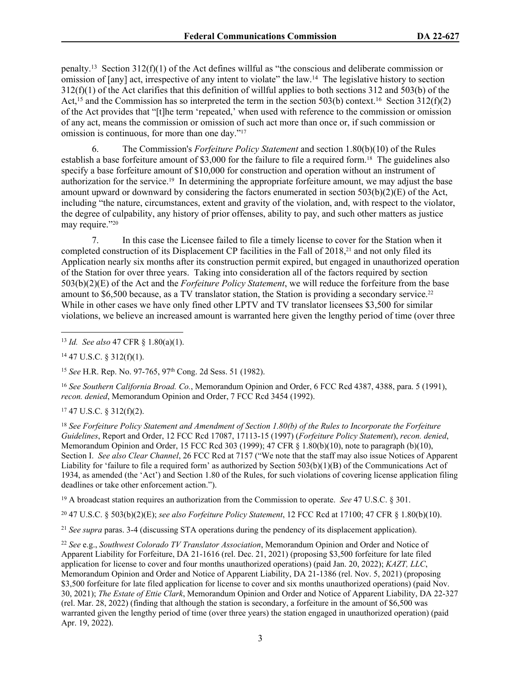penalty.<sup>13</sup> Section 312(f)(1) of the Act defines willful as "the conscious and deliberate commission or omission of [any] act, irrespective of any intent to violate" the law.<sup>14</sup> The legislative history to section 312(f)(1) of the Act clarifies that this definition of willful applies to both sections 312 and 503(b) of the Act,<sup>15</sup> and the Commission has so interpreted the term in the section 503(b) context.<sup>16</sup> Section 312(f)(2) of the Act provides that "[t]he term 'repeated,' when used with reference to the commission or omission of any act, means the commission or omission of such act more than once or, if such commission or omission is continuous, for more than one day."<sup>17</sup>

6. The Commission's *Forfeiture Policy Statement* and section 1.80(b)(10) of the Rules establish a base forfeiture amount of \$3,000 for the failure to file a required form.18 The guidelines also specify a base forfeiture amount of \$10,000 for construction and operation without an instrument of authorization for the service.19 In determining the appropriate forfeiture amount, we may adjust the base amount upward or downward by considering the factors enumerated in section 503(b)(2)(E) of the Act, including "the nature, circumstances, extent and gravity of the violation, and, with respect to the violator, the degree of culpability, any history of prior offenses, ability to pay, and such other matters as justice may require."<sup>20</sup>

7. In this case the Licensee failed to file a timely license to cover for the Station when it completed construction of its Displacement CP facilities in the Fall of 2018,21 and not only filed its Application nearly six months after its construction permit expired, but engaged in unauthorized operation of the Station for over three years. Taking into consideration all of the factors required by section 503(b)(2)(E) of the Act and the *Forfeiture Policy Statement*, we will reduce the forfeiture from the base amount to \$6,500 because, as a TV translator station, the Station is providing a secondary service.<sup>22</sup> While in other cases we have only fined other LPTV and TV translator licensees \$3,500 for similar violations, we believe an increased amount is warranted here given the lengthy period of time (over three

<sup>16</sup> *See Southern California Broad. Co.*, Memorandum Opinion and Order, 6 FCC Rcd 4387, 4388, para. 5 (1991), *recon. denied*, Memorandum Opinion and Order, 7 FCC Rcd 3454 (1992).

#### $17$  47 U.S.C. § 312(f)(2).

<sup>18</sup> *See Forfeiture Policy Statement and Amendment of Section 1.80(b) of the Rules to Incorporate the Forfeiture Guidelines*, Report and Order, 12 FCC Rcd 17087, 17113-15 (1997) (*Forfeiture Policy Statement*), *recon. denied*, Memorandum Opinion and Order, 15 FCC Rcd 303 (1999); 47 CFR § 1.80(b)(10), note to paragraph (b)(10), Section I. *See also Clear Channel*, 26 FCC Rcd at 7157 ("We note that the staff may also issue Notices of Apparent Liability for 'failure to file a required form' as authorized by Section 503(b)(1)(B) of the Communications Act of 1934, as amended (the 'Act') and Section 1.80 of the Rules, for such violations of covering license application filing deadlines or take other enforcement action.").

<sup>19</sup> A broadcast station requires an authorization from the Commission to operate. *See* 47 U.S.C. § 301.

<sup>20</sup> 47 U.S.C. § 503(b)(2)(E); *see also Forfeiture Policy Statement*, 12 FCC Rcd at 17100; 47 CFR § 1.80(b)(10).

<sup>21</sup> *See supra* paras. 3-4 (discussing STA operations during the pendency of its displacement application).

<sup>22</sup> *See* e.g., *Southwest Colorado TV Translator Association*, Memorandum Opinion and Order and Notice of Apparent Liability for Forfeiture, DA 21-1616 (rel. Dec. 21, 2021) (proposing \$3,500 forfeiture for late filed application for license to cover and four months unauthorized operations) (paid Jan. 20, 2022); *KAZT, LLC*, Memorandum Opinion and Order and Notice of Apparent Liability, DA 21-1386 (rel. Nov. 5, 2021) (proposing \$3,500 forfeiture for late filed application for license to cover and six months unauthorized operations) (paid Nov. 30, 2021); *The Estate of Ettie Clark*, Memorandum Opinion and Order and Notice of Apparent Liability, DA 22-327 (rel. Mar. 28, 2022) (finding that although the station is secondary, a forfeiture in the amount of \$6,500 was warranted given the lengthy period of time (over three years) the station engaged in unauthorized operation) (paid Apr. 19, 2022).

<sup>13</sup> *Id. See also* 47 CFR § 1.80(a)(1).

 $14$  47 U.S.C. § 312(f)(1).

<sup>15</sup> *See* H.R. Rep. No. 97-765, 97th Cong. 2d Sess. 51 (1982).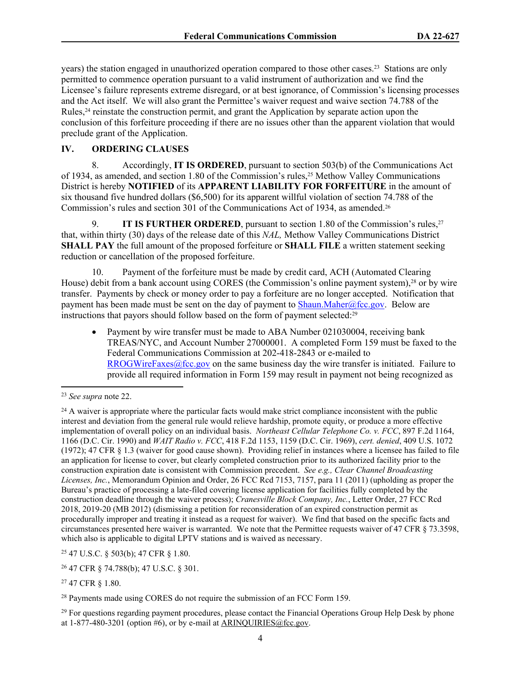years) the station engaged in unauthorized operation compared to those other cases.23 Stations are only permitted to commence operation pursuant to a valid instrument of authorization and we find the Licensee's failure represents extreme disregard, or at best ignorance, of Commission's licensing processes and the Act itself. We will also grant the Permittee's waiver request and waive section 74.788 of the Rules,24 reinstate the construction permit, and grant the Application by separate action upon the conclusion of this forfeiture proceeding if there are no issues other than the apparent violation that would preclude grant of the Application.

# **IV. ORDERING CLAUSES**

8. Accordingly, **IT IS ORDERED**, pursuant to section 503(b) of the Communications Act of 1934, as amended, and section 1.80 of the Commission's rules,<sup>25</sup> Methow Valley Communications District is hereby **NOTIFIED** of its **APPARENT LIABILITY FOR FORFEITURE** in the amount of six thousand five hundred dollars (\$6,500) for its apparent willful violation of section 74.788 of the Commission's rules and section 301 of the Communications Act of 1934, as amended.<sup>26</sup>

9. **IT IS FURTHER ORDERED**, pursuant to section 1.80 of the Commission's rules,<sup>27</sup> that, within thirty (30) days of the release date of this *NAL,* Methow Valley Communications District **SHALL PAY** the full amount of the proposed forfeiture or **SHALL FILE** a written statement seeking reduction or cancellation of the proposed forfeiture.

10. Payment of the forfeiture must be made by credit card, ACH (Automated Clearing House) debit from a bank account using CORES (the Commission's online payment system),28 or by wire transfer. Payments by check or money order to pay a forfeiture are no longer accepted. Notification that payment has been made must be sent on the day of payment to  $\frac{\text{Shaun}}{\text{Maher@fcc.gov}}$ . Below are instructions that payors should follow based on the form of payment selected:<sup>29</sup>

 Payment by wire transfer must be made to ABA Number 021030004, receiving bank TREAS/NYC, and Account Number 27000001. A completed Form 159 must be faxed to the Federal Communications Commission at 202-418-2843 or e-mailed to [RROGWireFaxes@fcc.gov](mailto:RROGWireFaxes@fcc.gov) on the same business day the wire transfer is initiated. Failure to provide all required information in Form 159 may result in payment not being recognized as

<sup>25</sup> 47 U.S.C. § 503(b); 47 CFR § 1.80.

<sup>23</sup> *See supra* note 22.

<sup>&</sup>lt;sup>24</sup> A waiver is appropriate where the particular facts would make strict compliance inconsistent with the public interest and deviation from the general rule would relieve hardship, promote equity, or produce a more effective implementation of overall policy on an individual basis. *Northeast Cellular Telephone Co. v. FCC*, 897 F.2d 1164, 1166 (D.C. Cir. 1990) and *WAIT Radio v. FCC*, 418 F.2d 1153, 1159 (D.C. Cir. 1969), *cert. denied*, 409 U.S. 1072 (1972); 47 CFR § 1.3 (waiver for good cause shown). Providing relief in instances where a licensee has failed to file an application for license to cover, but clearly completed construction prior to its authorized facility prior to the construction expiration date is consistent with Commission precedent. *See e.g., Clear Channel Broadcasting Licenses, Inc.*, Memorandum Opinion and Order, 26 FCC Rcd 7153, 7157, para 11 (2011) (upholding as proper the Bureau's practice of processing a late-filed covering license application for facilities fully completed by the construction deadline through the waiver process); *Cranesville Block Company, Inc.*, Letter Order, 27 FCC Rcd 2018, 2019-20 (MB 2012) (dismissing a petition for reconsideration of an expired construction permit as procedurally improper and treating it instead as a request for waiver). We find that based on the specific facts and circumstances presented here waiver is warranted. We note that the Permittee requests waiver of 47 CFR § 73.3598, which also is applicable to digital LPTV stations and is waived as necessary.

<sup>26</sup> 47 CFR § 74.788(b); 47 U.S.C. § 301.

<sup>27</sup> 47 CFR § 1.80.

<sup>28</sup> Payments made using CORES do not require the submission of an FCC Form 159.

<sup>&</sup>lt;sup>29</sup> For questions regarding payment procedures, please contact the Financial Operations Group Help Desk by phone at  $1-877-480-3201$  (option #6), or by e-mail at [ARINQUIRIES@fcc.gov.](mailto:ARINQUIRIES@fcc.gov)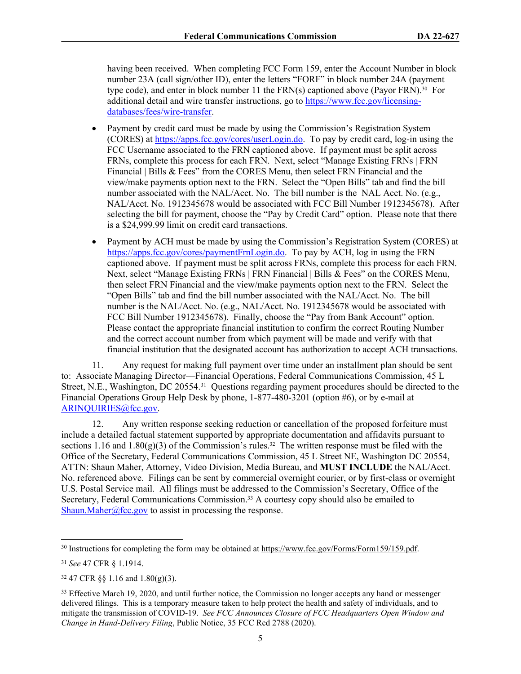having been received. When completing FCC Form 159, enter the Account Number in block number 23A (call sign/other ID), enter the letters "FORF" in block number 24A (payment type code), and enter in block number 11 the FRN(s) captioned above (Payor FRN).30 For additional detail and wire transfer instructions, go to [https://www.fcc.gov/licensing](https://www.fcc.gov/licensing-databases/fees/wire-transfer)[databases/fees/wire-transfer.](https://www.fcc.gov/licensing-databases/fees/wire-transfer)

- Payment by credit card must be made by using the Commission's Registration System (CORES) at<https://apps.fcc.gov/cores/userLogin.do>. To pay by credit card, log-in using the FCC Username associated to the FRN captioned above. If payment must be split across FRNs, complete this process for each FRN. Next, select "Manage Existing FRNs | FRN Financial | Bills & Fees" from the CORES Menu, then select FRN Financial and the view/make payments option next to the FRN. Select the "Open Bills" tab and find the bill number associated with the NAL/Acct. No. The bill number is the NAL Acct. No. (e.g., NAL/Acct. No. 1912345678 would be associated with FCC Bill Number 1912345678). After selecting the bill for payment, choose the "Pay by Credit Card" option. Please note that there is a \$24,999.99 limit on credit card transactions.
- Payment by ACH must be made by using the Commission's Registration System (CORES) at [https://apps.fcc.gov/cores/paymentFrnLogin.do.](https://apps.fcc.gov/cores/paymentFrnLogin.do) To pay by ACH, log in using the FRN captioned above. If payment must be split across FRNs, complete this process for each FRN. Next, select "Manage Existing FRNs | FRN Financial | Bills & Fees" on the CORES Menu, then select FRN Financial and the view/make payments option next to the FRN. Select the "Open Bills" tab and find the bill number associated with the NAL/Acct. No. The bill number is the NAL/Acct. No. (e.g., NAL/Acct. No. 1912345678 would be associated with FCC Bill Number 1912345678). Finally, choose the "Pay from Bank Account" option. Please contact the appropriate financial institution to confirm the correct Routing Number and the correct account number from which payment will be made and verify with that financial institution that the designated account has authorization to accept ACH transactions.

11. Any request for making full payment over time under an installment plan should be sent to: Associate Managing Director—Financial Operations, Federal Communications Commission, 45 L Street, N.E., Washington, DC 20554.<sup>31</sup> Questions regarding payment procedures should be directed to the Financial Operations Group Help Desk by phone, 1-877-480-3201 (option #6), or by e-mail at [ARINQUIRIES@fcc.gov](mailto:ARINQUIRIES@fcc.gov).

12. Any written response seeking reduction or cancellation of the proposed forfeiture must include a detailed factual statement supported by appropriate documentation and affidavits pursuant to sections 1.16 and 1.80(g)(3) of the Commission's rules.<sup>32</sup> The written response must be filed with the Office of the Secretary, Federal Communications Commission, 45 L Street NE, Washington DC 20554, ATTN: Shaun Maher, Attorney, Video Division, Media Bureau, and **MUST INCLUDE** the NAL/Acct. No. referenced above. Filings can be sent by commercial overnight courier, or by first-class or overnight U.S. Postal Service mail. All filings must be addressed to the Commission's Secretary, Office of the Secretary, Federal Communications Commission.33 A courtesy copy should also be emailed to [Shaun.Maher@fcc.gov](mailto:Shaun.Maher@fcc.gov) to assist in processing the response.

<sup>30</sup> Instructions for completing the form may be obtained at<https://www.fcc.gov/Forms/Form159/159.pdf>.

<sup>31</sup> *See* 47 CFR § 1.1914.

<sup>32</sup> 47 CFR §§ 1.16 and 1.80(g)(3).

<sup>&</sup>lt;sup>33</sup> Effective March 19, 2020, and until further notice, the Commission no longer accepts any hand or messenger delivered filings. This is a temporary measure taken to help protect the health and safety of individuals, and to mitigate the transmission of COVID-19. *See FCC Announces Closure of FCC Headquarters Open Window and Change in Hand-Delivery Filing*, Public Notice, 35 FCC Rcd 2788 (2020).